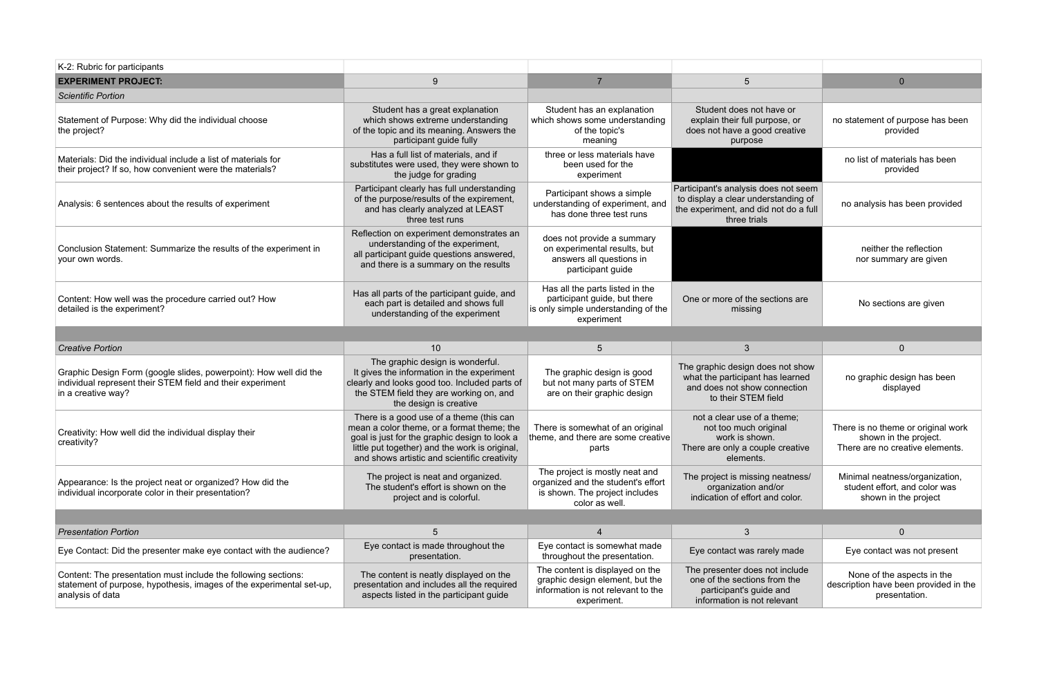| K-2: Rubric for participants                                                                                                                          |                                                                                                                                                                                                                                           |                                                                                                                          |                                                                                                                                      |                                                                                                |
|-------------------------------------------------------------------------------------------------------------------------------------------------------|-------------------------------------------------------------------------------------------------------------------------------------------------------------------------------------------------------------------------------------------|--------------------------------------------------------------------------------------------------------------------------|--------------------------------------------------------------------------------------------------------------------------------------|------------------------------------------------------------------------------------------------|
| <b>EXPERIMENT PROJECT:</b>                                                                                                                            | 9                                                                                                                                                                                                                                         | $\overline{7}$                                                                                                           | 5                                                                                                                                    | $\Omega$                                                                                       |
| <b>Scientific Portion</b>                                                                                                                             |                                                                                                                                                                                                                                           |                                                                                                                          |                                                                                                                                      |                                                                                                |
| Statement of Purpose: Why did the individual choose<br>the project?                                                                                   | Student has a great explanation<br>which shows extreme understanding<br>of the topic and its meaning. Answers the<br>participant guide fully                                                                                              | Student has an explanation<br>which shows some understanding<br>of the topic's<br>meaning                                | Student does not have or<br>explain their full purpose, or<br>does not have a good creative<br>purpose                               | no statement of purpose has been<br>provided                                                   |
| Materials: Did the individual include a list of materials for<br>their project? If so, how convenient were the materials?                             | Has a full list of materials, and if<br>substitutes were used, they were shown to<br>the judge for grading                                                                                                                                | three or less materials have<br>been used for the<br>experiment                                                          |                                                                                                                                      | no list of materials has been<br>provided                                                      |
| Analysis: 6 sentences about the results of experiment                                                                                                 | Participant clearly has full understanding<br>of the purpose/results of the expirement,<br>and has clearly analyzed at LEAST<br>three test runs                                                                                           | Participant shows a simple<br>understanding of experiment, and<br>has done three test runs                               | Participant's analysis does not seem<br>to display a clear understanding of<br>the experiment, and did not do a full<br>three trials | no analysis has been provided                                                                  |
| Conclusion Statement: Summarize the results of the experiment in<br>your own words.                                                                   | Reflection on experiment demonstrates an<br>understanding of the experiment,<br>all participant guide questions answered,<br>and there is a summary on the results                                                                        | does not provide a summary<br>on experimental results, but<br>answers all questions in<br>participant guide              |                                                                                                                                      | neither the reflection<br>nor summary are given                                                |
| Content: How well was the procedure carried out? How<br>detailed is the experiment?                                                                   | Has all parts of the participant guide, and<br>each part is detailed and shows full<br>understanding of the experiment                                                                                                                    | Has all the parts listed in the<br>participant guide, but there<br>is only simple understanding of the<br>experiment     | One or more of the sections are<br>missing                                                                                           | No sections are given                                                                          |
|                                                                                                                                                       |                                                                                                                                                                                                                                           |                                                                                                                          |                                                                                                                                      |                                                                                                |
|                                                                                                                                                       |                                                                                                                                                                                                                                           |                                                                                                                          |                                                                                                                                      |                                                                                                |
| <b>Creative Portion</b>                                                                                                                               | 10 <sup>1</sup>                                                                                                                                                                                                                           | 5 <sup>5</sup>                                                                                                           | 3                                                                                                                                    | $\mathbf{0}$                                                                                   |
| Graphic Design Form (google slides, powerpoint): How well did the<br>individual represent their STEM field and their experiment<br>in a creative way? | The graphic design is wonderful.<br>It gives the information in the experiment<br>clearly and looks good too. Included parts of<br>the STEM field they are working on, and<br>the design is creative                                      | The graphic design is good<br>but not many parts of STEM<br>are on their graphic design                                  | The graphic design does not show<br>what the participant has learned<br>and does not show connection<br>to their STEM field          | no graphic design has been<br>displayed                                                        |
| Creativity: How well did the individual display their<br>creativity?                                                                                  | There is a good use of a theme (this can<br>mean a color theme, or a format theme; the<br>goal is just for the graphic design to look a<br>little put together) and the work is original,<br>and shows artistic and scientific creativity | There is somewhat of an original<br>theme, and there are some creative<br>parts                                          | not a clear use of a theme:<br>not too much original<br>work is shown.<br>There are only a couple creative<br>elements.              | There is no theme or original work<br>shown in the project.<br>There are no creative elements. |
| Appearance: Is the project neat or organized? How did the<br>individual incorporate color in their presentation?                                      | The project is neat and organized.<br>The student's effort is shown on the<br>project and is colorful.                                                                                                                                    | The project is mostly neat and<br>organized and the student's effort<br>is shown. The project includes<br>color as well. | The project is missing neatness/<br>organization and/or<br>indication of effort and color.                                           | Minimal neatness/organization,<br>student effort, and color was<br>shown in the project        |
|                                                                                                                                                       |                                                                                                                                                                                                                                           |                                                                                                                          |                                                                                                                                      |                                                                                                |
| <b>Presentation Portion</b>                                                                                                                           | 5                                                                                                                                                                                                                                         | $\overline{4}$                                                                                                           | 3                                                                                                                                    | $\mathbf{0}$                                                                                   |
| Eye Contact: Did the presenter make eye contact with the audience?                                                                                    | Eye contact is made throughout the<br>presentation.                                                                                                                                                                                       | Eye contact is somewhat made<br>throughout the presentation.                                                             | Eye contact was rarely made                                                                                                          | Eye contact was not present                                                                    |